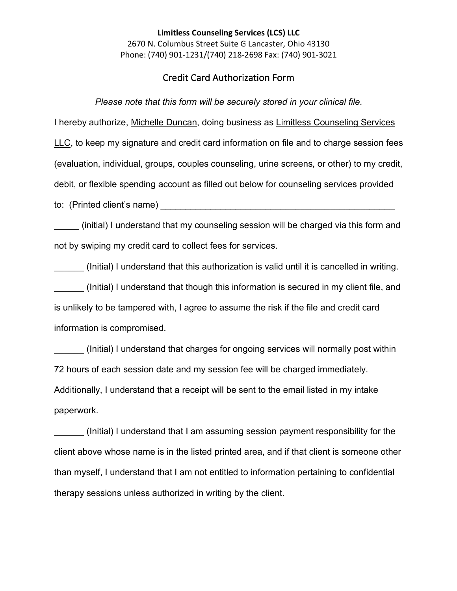## **Limitless Counseling Services (LCS) LLC** 2670 N. Columbus Street Suite G Lancaster, Ohio 43130 Phone: (740) 901-1231/(740) 218-2698 Fax: (740) 901-3021

## Credit Card Authorization Form

*Please note that this form will be securely stored in your clinical file.*

I hereby authorize, Michelle Duncan, doing business as Limitless Counseling Services LLC, to keep my signature and credit card information on file and to charge session fees (evaluation, individual, groups, couples counseling, urine screens, or other) to my credit, debit, or flexible spending account as filled out below for counseling services provided to: (Printed client's name) **Example 2** and the contract of the contract of the contract of the contract of the contract of the contract of the contract of the contract of the contract of the contract of the contract of th

(initial) I understand that my counseling session will be charged via this form and not by swiping my credit card to collect fees for services.

(Initial) I understand that this authorization is valid until it is cancelled in writing. (Initial) I understand that though this information is secured in my client file, and is unlikely to be tampered with, I agree to assume the risk if the file and credit card information is compromised.

(Initial) I understand that charges for ongoing services will normally post within 72 hours of each session date and my session fee will be charged immediately. Additionally, I understand that a receipt will be sent to the email listed in my intake paperwork.

\_\_\_\_\_\_ (Initial) I understand that I am assuming session payment responsibility for the client above whose name is in the listed printed area, and if that client is someone other than myself, I understand that I am not entitled to information pertaining to confidential therapy sessions unless authorized in writing by the client.